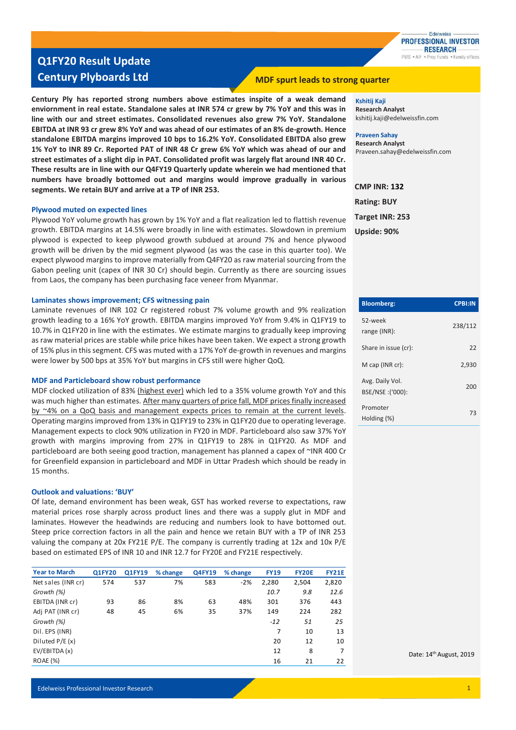

## **Q1FY20 Result Update Century Plyboards Ltd MDF** spurt leads to strong quarter

**Century Ply has reported strong numbers above estimates inspite of a weak demand enviornment in real estate. Standalone sales at INR 574 cr grew by 7% YoY and this was in line with our and street estimates. Consolidated revenues also grew 7% YoY. Standalone EBITDA at INR 93 cr grew 8% YoY and was ahead of our estimates of an 8% de-growth. Hence standalone EBITDA margins improved 10 bps to 16.2% YoY. Consolidated EBITDA also grew 1% YoY to INR 89 Cr. Reported PAT of INR 48 Cr grew 6% YoY which was ahead of our and street estimates of a slight dip in PAT. Consolidated profit was largely flat around INR 40 Cr. These results are in line with our Q4FY19 Quarterly update wherein we had mentioned that numbers have broadly bottomed out and margins would improve gradually in various segments. We retain BUY and arrive at a TP of INR 253.** 

#### **Plywood muted on expected lines**

Plywood YoY volume growth has grown by 1% YoY and a flat realization led to flattish revenue growth. EBITDA margins at 14.5% were broadly in line with estimates. Slowdown in premium plywood is expected to keep plywood growth subdued at around 7% and hence plywood growth will be driven by the mid segment plywood (as was the case in this quarter too). We expect plywood margins to improve materially from Q4FY20 as raw material sourcing from the Gabon peeling unit (capex of INR 30 Cr) should begin. Currently as there are sourcing issues from Laos, the company has been purchasing face veneer from Myanmar.

### **Laminates shows improvement; CFS witnessing pain**

Laminate revenues of INR 102 Cr registered robust 7% volume growth and 9% realization growth leading to a 16% YoY growth. EBITDA margins improved YoY from 9.4% in Q1FY19 to 10.7% in Q1FY20 in line with the estimates. We estimate margins to gradually keep improving as raw material prices are stable while price hikes have been taken. We expect a strong growth of 15% plus in this segment. CFS was muted with a 17% YoY de-growth in revenues and margins were lower by 500 bps at 35% YoY but margins in CFS still were higher QoQ.

#### **MDF and Particleboard show robust performance**

MDF clocked utilization of 83% (highest ever) which led to a 35% volume growth YoY and this was much higher than estimates. After many quarters of price fall, MDF prices finally increased by ~4% on a QoQ basis and management expects prices to remain at the current levels. Operating margins improved from 13% in Q1FY19 to 23% in Q1FY20 due to operating leverage. Management expects to clock 90% utilization in FY20 in MDF. Particleboard also saw 37% YoY growth with margins improving from 27% in Q1FY19 to 28% in Q1FY20. As MDF and particleboard are both seeing good traction, management has planned a capex of ~INR 400 Cr for Greenfield expansion in particleboard and MDF in Uttar Pradesh which should be ready in 15 months.

### **Outlook and valuations: 'BUY'**

Of late, demand environment has been weak, GST has worked reverse to expectations, raw material prices rose sharply across product lines and there was a supply glut in MDF and laminates. However the headwinds are reducing and numbers look to have bottomed out. Steep price correction factors in all the pain and hence we retain BUY with a TP of INR 253 valuing the company at 20x FY21E P/E. The company is currently trading at 12x and 10x P/E based on estimated EPS of INR 10 and INR 12.7 for FY20E and FY21E respectively.

| <b>Year to March</b> | <b>Q1FY20</b> | Q1FY19 | % change | <b>Q4FY19</b> | % change | <b>FY19</b> | <b>FY20E</b> | <b>FY21E</b> |
|----------------------|---------------|--------|----------|---------------|----------|-------------|--------------|--------------|
| Net sales (INR cr)   | 574           | 537    | 7%       | 583           | $-2%$    | 2,280       | 2,504        | 2,820        |
| Growth (%)           |               |        |          |               |          | 10.7        | 9.8          | 12.6         |
| EBITDA (INR cr)      | 93            | 86     | 8%       | 63            | 48%      | 301         | 376          | 443          |
| Adj PAT (INR cr)     | 48            | 45     | 6%       | 35            | 37%      | 149         | 224          | 282          |
| Growth (%)           |               |        |          |               |          | $-12$       | 51           | 25           |
| Dil. EPS (INR)       |               |        |          |               |          | 7           | 10           | 13           |
| Diluted $P/E(x)$     |               |        |          |               |          | 20          | 12           | 10           |
| EV/EBITDA (x)        |               |        |          |               |          | 12          | 8            | 7            |
| <b>ROAE</b> (%)      |               |        |          |               |          | 16          | 21           | 22           |

**Kshitij Kaji Research Analyst** kshitij.kaji@edelweissfin.com

**Praveen Sahay Research Analyst** Praveen.sahay@edelweissfin.com

**CMP INR: 132 Rating: BUY Target INR: 253 Upside: 90%**

| <b>Bloomberg:</b>                    | <b>CPBI:IN</b> |
|--------------------------------------|----------------|
| 52-week<br>range (INR):              | 238/112        |
| Share in issue (cr):                 | 22             |
| M cap (INR cr):                      | 2,930          |
| Avg. Daily Vol.<br>BSE/NSE : ('000): | 200            |
| Promoter<br>Holding (%)              | 73             |

Date: 14th August, 2019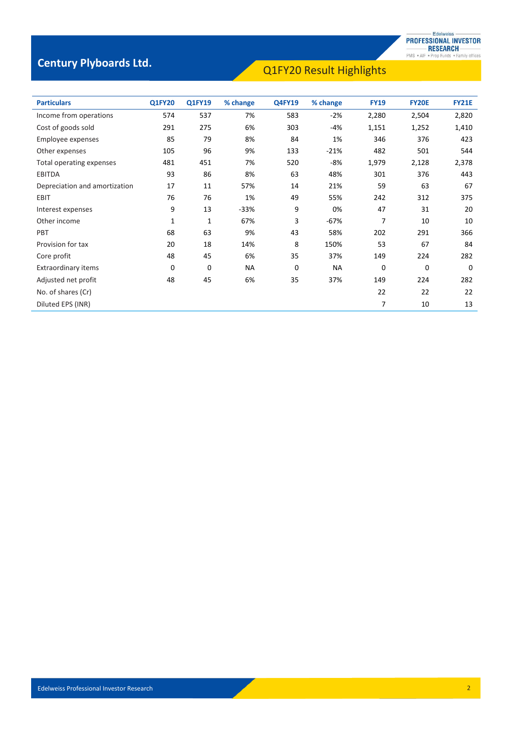## Q1FY20 Result Highlights **Century Plyboards Ltd.**

| <b>Particulars</b>            | <b>Q1FY20</b> | <b>Q1FY19</b> | % change  | <b>Q4FY19</b> | % change | <b>FY19</b> | <b>FY20E</b> | <b>FY21E</b> |
|-------------------------------|---------------|---------------|-----------|---------------|----------|-------------|--------------|--------------|
| Income from operations        | 574           | 537           | 7%        | 583           | $-2%$    | 2,280       | 2,504        | 2,820        |
| Cost of goods sold            | 291           | 275           | 6%        | 303           | -4%      | 1,151       | 1,252        | 1,410        |
| Employee expenses             | 85            | 79            | 8%        | 84            | 1%       | 346         | 376          | 423          |
| Other expenses                | 105           | 96            | 9%        | 133           | $-21%$   | 482         | 501          | 544          |
| Total operating expenses      | 481           | 451           | 7%        | 520           | -8%      | 1,979       | 2,128        | 2,378        |
| <b>EBITDA</b>                 | 93            | 86            | 8%        | 63            | 48%      | 301         | 376          | 443          |
| Depreciation and amortization | 17            | 11            | 57%       | 14            | 21%      | 59          | 63           | 67           |
| EBIT                          | 76            | 76            | 1%        | 49            | 55%      | 242         | 312          | 375          |
| Interest expenses             | 9             | 13            | $-33%$    | 9             | 0%       | 47          | 31           | 20           |
| Other income                  | 1             | 1             | 67%       | 3             | -67%     | 7           | 10           | 10           |
| PBT                           | 68            | 63            | 9%        | 43            | 58%      | 202         | 291          | 366          |
| Provision for tax             | 20            | 18            | 14%       | 8             | 150%     | 53          | 67           | 84           |
| Core profit                   | 48            | 45            | 6%        | 35            | 37%      | 149         | 224          | 282          |
| Extraordinary items           | $\Omega$      | $\mathbf 0$   | <b>NA</b> | 0             | NА       | 0           | 0            | $\Omega$     |
| Adjusted net profit           | 48            | 45            | 6%        | 35            | 37%      | 149         | 224          | 282          |
| No. of shares (Cr)            |               |               |           |               |          | 22          | 22           | 22           |
| Diluted EPS (INR)             |               |               |           |               |          | 7           | 10           | 13           |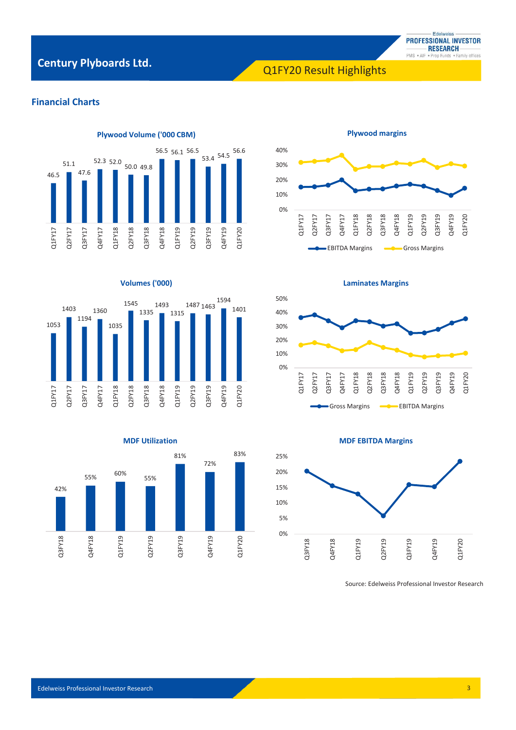## Q1FY20 Result Highlights **Century Plyboards Ltd.**



## **Financial Charts**



### **Volumes ('000)**







**Laminates Margins**



**MDF EBITDA Margins**



Source: Edelweiss Professional Investor Research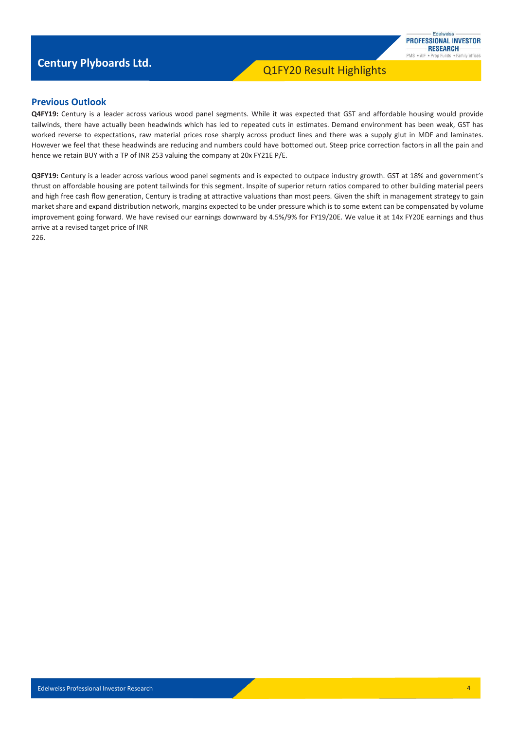## Q1FY20 Result Highlights **Century Plyboards Ltd.**



### **Previous Outlook**

**Q4FY19:** Century is a leader across various wood panel segments. While it was expected that GST and affordable housing would provide tailwinds, there have actually been headwinds which has led to repeated cuts in estimates. Demand environment has been weak, GST has worked reverse to expectations, raw material prices rose sharply across product lines and there was a supply glut in MDF and laminates. However we feel that these headwinds are reducing and numbers could have bottomed out. Steep price correction factors in all the pain and hence we retain BUY with a TP of INR 253 valuing the company at 20x FY21E P/E.

**Q3FY19:** Century is a leader across various wood panel segments and is expected to outpace industry growth. GST at 18% and government's thrust on affordable housing are potent tailwinds for this segment. Inspite of superior return ratios compared to other building material peers and high free cash flow generation, Century is trading at attractive valuations than most peers. Given the shift in management strategy to gain market share and expand distribution network, margins expected to be under pressure which is to some extent can be compensated by volume improvement going forward. We have revised our earnings downward by 4.5%/9% for FY19/20E. We value it at 14x FY20E earnings and thus arrive at a revised target price of INR

226.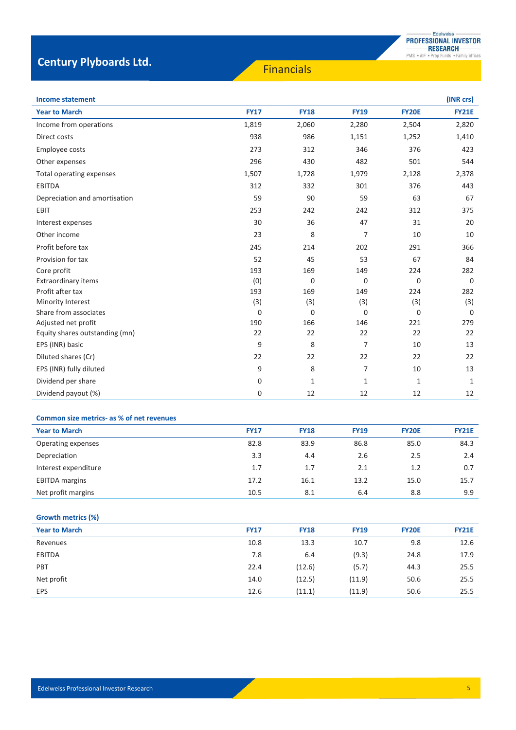## **Century Plyboards Ltd. Century Plyboards Ltd.**

| Income statement |
|------------------|
|                  |

| <b>Income statement</b>        |             |              |                |              | (INR crs)    |
|--------------------------------|-------------|--------------|----------------|--------------|--------------|
| <b>Year to March</b>           | <b>FY17</b> | <b>FY18</b>  | <b>FY19</b>    | <b>FY20E</b> | <b>FY21E</b> |
| Income from operations         | 1,819       | 2,060        | 2,280          | 2,504        | 2,820        |
| Direct costs                   | 938         | 986          | 1,151          | 1,252        | 1,410        |
| Employee costs                 | 273         | 312          | 346            | 376          | 423          |
| Other expenses                 | 296         | 430          | 482            | 501          | 544          |
| Total operating expenses       | 1,507       | 1,728        | 1,979          | 2,128        | 2,378        |
| <b>EBITDA</b>                  | 312         | 332          | 301            | 376          | 443          |
| Depreciation and amortisation  | 59          | 90           | 59             | 63           | 67           |
| EBIT                           | 253         | 242          | 242            | 312          | 375          |
| Interest expenses              | 30          | 36           | 47             | 31           | 20           |
| Other income                   | 23          | 8            | $\overline{7}$ | 10           | 10           |
| Profit before tax              | 245         | 214          | 202            | 291          | 366          |
| Provision for tax              | 52          | 45           | 53             | 67           | 84           |
| Core profit                    | 193         | 169          | 149            | 224          | 282          |
| Extraordinary items            | (0)         | 0            | $\mathbf 0$    | $\Omega$     | $\Omega$     |
| Profit after tax               | 193         | 169          | 149            | 224          | 282          |
| Minority Interest              | (3)         | (3)          | (3)            | (3)          | (3)          |
| Share from associates          | $\mathbf 0$ | 0            | $\mathbf 0$    | $\mathbf 0$  | $\Omega$     |
| Adjusted net profit            | 190         | 166          | 146            | 221          | 279          |
| Equity shares outstanding (mn) | 22          | 22           | 22             | 22           | 22           |
| EPS (INR) basic                | 9           | 8            | 7              | 10           | 13           |
| Diluted shares (Cr)            | 22          | 22           | 22             | 22           | 22           |
| EPS (INR) fully diluted        | 9           | 8            | 7              | 10           | 13           |
| Dividend per share             | 0           | $\mathbf{1}$ | $\mathbf{1}$   | $\mathbf{1}$ | $\mathbf{1}$ |
| Dividend payout (%)            | 0           | 12           | 12             | 12           | 12           |

### **Common size metrics- as % of net revenues**

| <b>Year to March</b>  | <b>FY17</b> | <b>FY18</b> | <b>FY19</b> | <b>FY20E</b> | <b>FY21E</b> |
|-----------------------|-------------|-------------|-------------|--------------|--------------|
| Operating expenses    | 82.8        | 83.9        | 86.8        | 85.0         | 84.3         |
| Depreciation          | 3.3         | 4.4         | 2.6         | 2.5          | 2.4          |
| Interest expenditure  | 1.7         | 1.7         | 2.1         | 1.2          | 0.7          |
| <b>EBITDA</b> margins | 17.2        | 16.1        | 13.2        | 15.0         | 15.7         |
| Net profit margins    | 10.5        | 8.1         | 6.4         | 8.8          | 9.9          |

### **Growth metrics (%)**

| <b>Year to March</b> | <b>FY17</b> | <b>FY18</b> | <b>FY19</b> | <b>FY20E</b> | <b>FY21E</b> |
|----------------------|-------------|-------------|-------------|--------------|--------------|
| Revenues             | 10.8        | 13.3        | 10.7        | 9.8          | 12.6         |
| <b>EBITDA</b>        | 7.8         | 6.4         | (9.3)       | 24.8         | 17.9         |
| PBT                  | 22.4        | (12.6)      | (5.7)       | 44.3         | 25.5         |
| Net profit           | 14.0        | (12.5)      | (11.9)      | 50.6         | 25.5         |
| <b>EPS</b>           | 12.6        | (11.1)      | (11.9)      | 50.6         | 25.5         |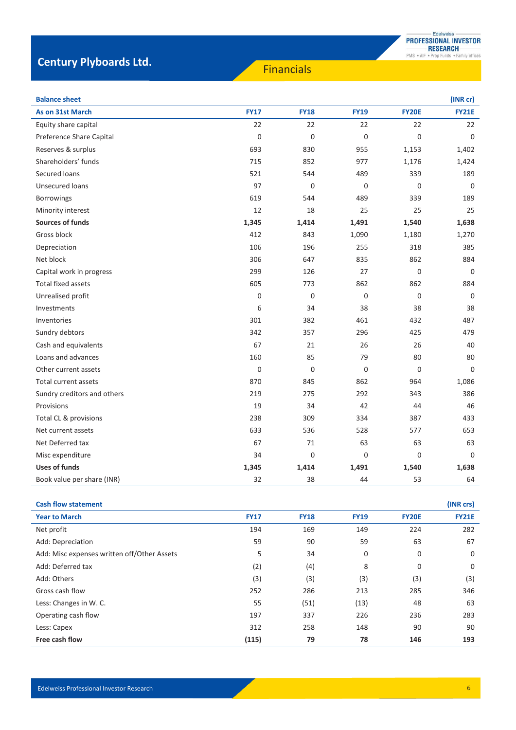## **Century Plyboards Ltd. Century Plyboards Ltd.**

| <b>Balance sheet</b>        |             |             |             |              | (INR cr)     |
|-----------------------------|-------------|-------------|-------------|--------------|--------------|
| As on 31st March            | <b>FY17</b> | <b>FY18</b> | <b>FY19</b> | <b>FY20E</b> | <b>FY21E</b> |
| Equity share capital        | 22          | 22          | 22          | 22           | 22           |
| Preference Share Capital    | 0           | 0           | $\mathbf 0$ | 0            | $\mathbf 0$  |
| Reserves & surplus          | 693         | 830         | 955         | 1,153        | 1,402        |
| Shareholders' funds         | 715         | 852         | 977         | 1,176        | 1,424        |
| Secured Ioans               | 521         | 544         | 489         | 339          | 189          |
| <b>Unsecured loans</b>      | 97          | 0           | $\mathbf 0$ | $\mathbf 0$  | $\mathbf 0$  |
| <b>Borrowings</b>           | 619         | 544         | 489         | 339          | 189          |
| Minority interest           | 12          | 18          | 25          | 25           | 25           |
| <b>Sources of funds</b>     | 1,345       | 1,414       | 1,491       | 1,540        | 1,638        |
| Gross block                 | 412         | 843         | 1,090       | 1,180        | 1,270        |
| Depreciation                | 106         | 196         | 255         | 318          | 385          |
| Net block                   | 306         | 647         | 835         | 862          | 884          |
| Capital work in progress    | 299         | 126         | 27          | $\mathbf 0$  | $\Omega$     |
| <b>Total fixed assets</b>   | 605         | 773         | 862         | 862          | 884          |
| Unrealised profit           | 0           | 0           | $\mathbf 0$ | 0            | 0            |
| Investments                 | 6           | 34          | 38          | 38           | 38           |
| Inventories                 | 301         | 382         | 461         | 432          | 487          |
| Sundry debtors              | 342         | 357         | 296         | 425          | 479          |
| Cash and equivalents        | 67          | 21          | 26          | 26           | 40           |
| Loans and advances          | 160         | 85          | 79          | 80           | 80           |
| Other current assets        | 0           | 0           | $\mathbf 0$ | $\mathbf 0$  | $\mathbf 0$  |
| Total current assets        | 870         | 845         | 862         | 964          | 1,086        |
| Sundry creditors and others | 219         | 275         | 292         | 343          | 386          |
| Provisions                  | 19          | 34          | 42          | 44           | 46           |
| Total CL & provisions       | 238         | 309         | 334         | 387          | 433          |
| Net current assets          | 633         | 536         | 528         | 577          | 653          |
| Net Deferred tax            | 67          | 71          | 63          | 63           | 63           |
| Misc expenditure            | 34          | $\Omega$    | $\Omega$    | $\Omega$     | $\Omega$     |
| <b>Uses of funds</b>        | 1,345       | 1,414       | 1,491       | 1,540        | 1,638        |
| Book value per share (INR)  | 32          | 38          | 44          | 53           | 64           |

| <b>Cash flow statement</b>                  |             |             |             |              | (INR crs)    |
|---------------------------------------------|-------------|-------------|-------------|--------------|--------------|
| <b>Year to March</b>                        | <b>FY17</b> | <b>FY18</b> | <b>FY19</b> | <b>FY20E</b> | <b>FY21E</b> |
| Net profit                                  | 194         | 169         | 149         | 224          | 282          |
| Add: Depreciation                           | 59          | 90          | 59          | 63           | 67           |
| Add: Misc expenses written off/Other Assets | 5           | 34          | 0           | 0            | 0            |
| Add: Deferred tax                           | (2)         | (4)         | 8           | 0            | 0            |
| Add: Others                                 | (3)         | (3)         | (3)         | (3)          | (3)          |
| Gross cash flow                             | 252         | 286         | 213         | 285          | 346          |
| Less: Changes in W. C.                      | 55          | (51)        | (13)        | 48           | 63           |
| Operating cash flow                         | 197         | 337         | 226         | 236          | 283          |
| Less: Capex                                 | 312         | 258         | 148         | 90           | 90           |
| Free cash flow                              | (115)       | 79          | 78          | 146          | 193          |

6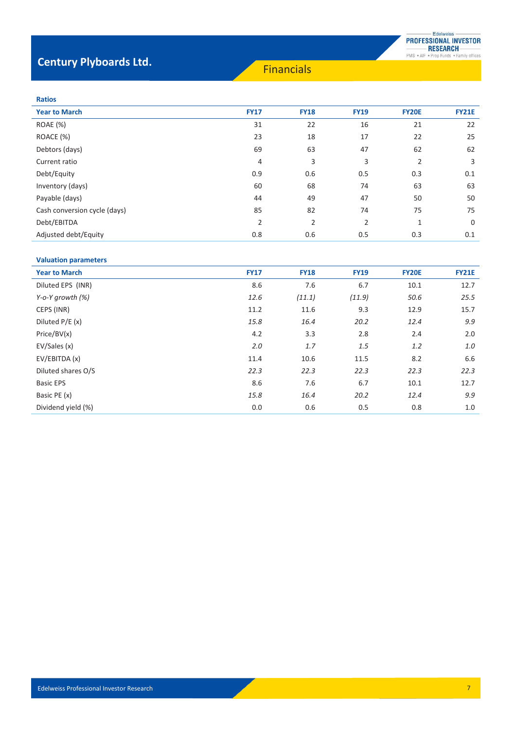# **Century Plyboards Ltd.** Financials

| . . | . .<br>× | ۰.<br>×<br>۰,<br>× |  |
|-----|----------|--------------------|--|

| <b>Year to March</b>         | <b>FY17</b>    | <b>FY18</b>    | <b>FY19</b>    | <b>FY20E</b>   | <b>FY21E</b> |
|------------------------------|----------------|----------------|----------------|----------------|--------------|
| <b>ROAE</b> (%)              | 31             | 22             | 16             | 21             | 22           |
| ROACE (%)                    | 23             | 18             | 17             | 22             | 25           |
| Debtors (days)               | 69             | 63             | 47             | 62             | 62           |
| Current ratio                | 4              | 3              | 3              | $\overline{2}$ | 3            |
| Debt/Equity                  | 0.9            | 0.6            | 0.5            | 0.3            | 0.1          |
| Inventory (days)             | 60             | 68             | 74             | 63             | 63           |
| Payable (days)               | 44             | 49             | 47             | 50             | 50           |
| Cash conversion cycle (days) | 85             | 82             | 74             | 75             | 75           |
| Debt/EBITDA                  | $\overline{2}$ | $\overline{2}$ | $\overline{2}$ | 1              | 0            |
| Adjusted debt/Equity         | 0.8            | 0.6            | 0.5            | 0.3            | 0.1          |
|                              |                |                |                |                |              |

### **Valuation parameters**

| <b>Year to March</b> | <b>FY17</b> | <b>FY18</b> | <b>FY19</b> | <b>FY20E</b> | <b>FY21E</b> |
|----------------------|-------------|-------------|-------------|--------------|--------------|
| Diluted EPS (INR)    | 8.6         | 7.6         | 6.7         | 10.1         | 12.7         |
| Y-o-Y growth $(\%)$  | 12.6        | (11.1)      | (11.9)      | 50.6         | 25.5         |
| CEPS (INR)           | 11.2        | 11.6        | 9.3         | 12.9         | 15.7         |
| Diluted P/E (x)      | 15.8        | 16.4        | 20.2        | 12.4         | 9.9          |
| Price/BV(x)          | 4.2         | 3.3         | 2.8         | 2.4          | 2.0          |
| EV/Sales (x)         | 2.0         | 1.7         | 1.5         | 1.2          | 1.0          |
| EV/EBITDA (x)        | 11.4        | 10.6        | 11.5        | 8.2          | 6.6          |
| Diluted shares O/S   | 22.3        | 22.3        | 22.3        | 22.3         | 22.3         |
| <b>Basic EPS</b>     | 8.6         | 7.6         | 6.7         | 10.1         | 12.7         |
| Basic PE (x)         | 15.8        | 16.4        | 20.2        | 12.4         | 9.9          |
| Dividend yield (%)   | 0.0         | 0.6         | 0.5         | 0.8          | 1.0          |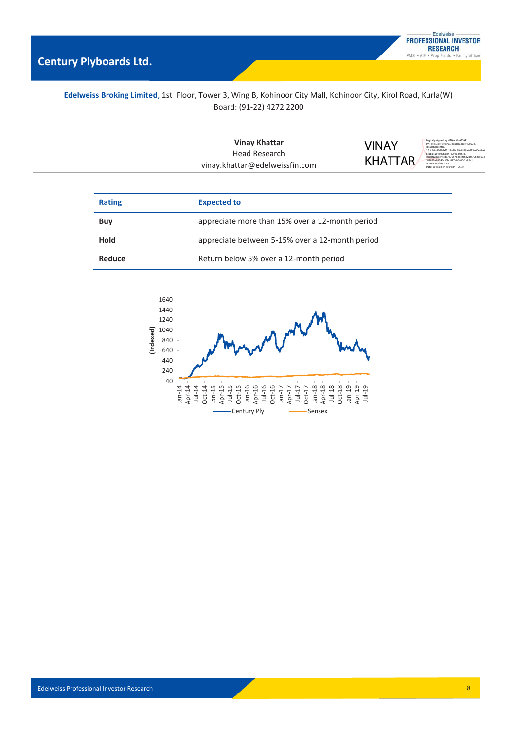## **Edelweiss Broking Limited**, 1st Floor, Tower 3, Wing B, Kohinoor City Mall, Kohinoor City, Kirol Road, Kurla(W) Board: (91-22) 4272 2200

| <b>Vinay Khattar</b><br>Head Research | VINAY<br><b>KHATTAR</b> | Digitally signed by VINAY KHATTAR<br>DN: c=IN. o=Personal. postalCode=400072.<br>st=Maharashtra.<br>2.5.4.20=87db74ffb17a70c89e8519a4d13e40e93c4<br>bcaba1a64d00f3c841d2fee3fa678.<br>serialNumber=cd5737057831c416d2a5f7064cb693<br>183887e7ff342c50bd877e00c00e2e82a1. |
|---------------------------------------|-------------------------|--------------------------------------------------------------------------------------------------------------------------------------------------------------------------------------------------------------------------------------------------------------------------|
| vinay.khattar@edelweissfin.com        |                         | cn=VINAY KHATTAR<br>Date: 2019.08.14 19:09:34 +05'30'                                                                                                                                                                                                                    |

| <b>Rating</b> | <b>Expected to</b>                              |
|---------------|-------------------------------------------------|
| Buy           | appreciate more than 15% over a 12-month period |
| <b>Hold</b>   | appreciate between 5-15% over a 12-month period |
| Reduce        | Return below 5% over a 12-month period          |

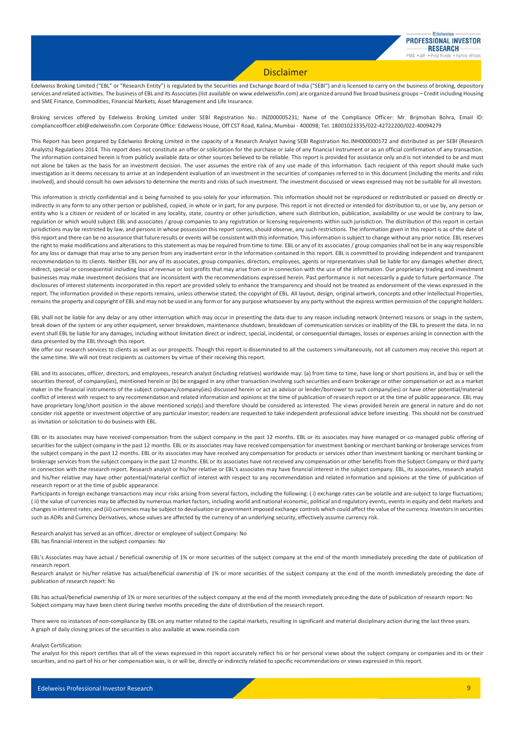### Disclaimer

Edelweiss Broking Limited ("EBL" or "Research Entity") is regulated by the Securities and Exchange Board of India ("SEBI") and is licensed to carry on the business of broking, depository services and related activities. The business of EBL and its Associates (list available on www.edelweissfin.com) are organized around five broad business groups - Credit including Housing and SME Finance, Commodities, Financial Markets, Asset Management and Life Insurance.

Broking services offered by Edelweiss Broking Limited under SEBI Registration No.: INZ000005231; Name of the Compliance Officer: Mr. Brijmohan Bohra, Email ID: complianceofficer.ebl@edelweissfin.com Corporate Office: Edelweiss House, Off CST Road, Kalina, Mumbai - 400098; Tel. 18001023335/022-42722200/022-40094279

This Report has been prepared by Edelweiss Broking Limited in the capacity of a Research Analyst having SEBI Registration No.INH000000172 and distributed as per SEBI (Research Analysts) Regulations 2014. This report does not constitute an offer or solicitation for the purchase or sale of any financia l instrument or as an official confirmation of any transaction. The information contained herein is from publicly available data or other sources believed to be reliable. This report is provided for assistance only and is not intended to be and must not alone be taken as the basis for an investment decision. The user assumes the entire risk of any use made of this information. Each recipient of this report should make such investigation as it deems necessary to arrive at an independent evaluation of an investment in the securities of companies referred to in this document (including the merits and risks involved), and should consult his own advisors to determine the merits and risks of such investment. The investment discussed or views expressed may not be suitable for all investors.

This information is strictly confidential and is being furnished to you solely for your information. This information should not be reproduced or redistributed or passed on directly or indirectly in any form to any other person or published, copied, in whole or in part, for any purpose. This report is not directed or intended for distribution to, or use by, any person or entity who is a citizen or resident of or located in any locality, state, country or other jurisdiction, where such distribution, publication, availability or use would be contrary to law, regulation or which would subject EBL and associates / group companies to any registration or licensing requirements within such jurisdiction. The distribution of this report in certain jurisdictions may be restricted by law, and persons in whose possession this report comes, should observe, any such restrictions. The information given in this report is as of the date of this report and there can be no assurance that future results or events will be consistent with this information. This information is subject to change without any prior notice. EBL reserves the right to make modifications and alterations to this statement as may be required from time to time. EBL or any of its associates / group companies shall not be in any way responsible for any loss or damage that may arise to any person from any inadvertent error in the information contained in this report. EBL is committed to providing independent and transparent recommendation to its clients. Neither EBL nor any of its associates, group companies, directors, employees, agents or representatives shall be liable for any damages whether direct, indirect, special or consequential including loss of revenue or lost profits that may arise from or in connection with the use of the information. Our proprietary trading and investment businesses may make investment decisions that are inconsistent with the recommendations expressed herein. Past performance is not necessarily a guide to future performance .The disclosures of interest statements incorporated in this report are provided solely to enhance the transparency and should not be treated as endorsement of the views expressed in the report. The information provided in these reports remains, unless otherwise stated, the copyright of EBL. All layout, design, original artwork, concepts and other Intellectual Properties, remains the property and copyright of EBL and may not be used in any form or for any purpose whatsoever by any party without the express written permission of the copyright holders.

EBL shall not be liable for any delay or any other interruption which may occur in presenting the data due to any reason including network (Internet) reasons or snags in the system, break down of the system or any other equipment, server breakdown, maintenance shutdown, breakdown of communication services or inability of the EBL to present the data. In no event shall EBL be liable for any damages, including without limitation direct or indirect, special, incidental, or consequential damages, losses or expenses arising in connection with the data presented by the EBL through this report.

We offer our research services to clients as well as our prospects. Though this report is disseminated to all the customers simultaneously, not all customers may receive this report at the same time. We will not treat recipients as customers by virtue of their receiving this report.

EBL and its associates, officer, directors, and employees, research analyst (including relatives) worldwide may: (a) from time to time, have long or short positions in, and buy or sell the securities thereof, of company(ies), mentioned herein or (b) be engaged in any other transaction involving such securities and earn brokerage or other compensation or act as a market maker in the financial instruments of the subject company/company(ies) discussed herein or act as advisor or lender/borrower to such company(ies) or have other potential/material conflict of interest with respect to any recommendation and related information and opinions at the time of publication of research report or at the time of public appearance. EBL may have proprietary long/short position in the above mentioned scrip(s) and therefore should be considered as interested. The views provided herein are general in nature and do not consider risk appetite or investment objective of any particular investor; readers are requested to take independent professional advice before investing. This should not be construed as invitation or solicitation to do business with EBL.

EBL or its associates may have received compensation from the subject company in the past 12 months. EBL or its associates may have managed or co-managed public offering of securities for the subject company in the past 12 months. EBL or its associates may have received compensation for investment banking or merchant banking or brokerage services from the subject company in the past 12 months. EBL or its associates may have received any compensation for products or services other than investment banking or merchant banking or brokerage services from the subject company in the past 12 months. EBL or its associates have not received any compensation or other benefits from the Subject Company or third party in connection with the research report. Research analyst or his/her relative or EBL's associates may have financial interest in the subject company. EBL, its associates, research analyst and his/her relative may have other potential/material conflict of interest with respect to any recommendation and related information and opinions at the time of publication of research report or at the time of public appearance.

Participants in foreign exchange transactions may incur risks arising from several factors, including the following: (i) exchange rates can be volatile and are subject to large fluctuations; (ii) the value of currencies may be affected by numerous market factors, including world and national economic, political and regulatory events, events in equity and debt markets and changes in interest rates; and (iii) currencies may be subject to devaluation or government imposed exchange controls which could affect the value of the currency. Investors in securities such as ADRs and Currency Derivatives, whose values are affected by the currency of an underlying security, effectively assume currency risk.

Research analyst has served as an officer, director or employee of subject Company: No EBL has financial interest in the subject companies: No

EBL's Associates may have actual / beneficial ownership of 1% or more securities of the subject company at the end of the month immediately preceding the date of publication of research report.

Research analyst or his/her relative has actual/beneficial ownership of 1% or more securities of the subject company at the end of the month immediately preceding the date of publication of research report: No

EBL has actual/beneficial ownership of 1% or more securities of the subject company at the end of the month immediately preceding the date of publication of research report: No Subject company may have been client during twelve months preceding the date of distribution of the research report.

There were no instances of non-compliance by EBL on any matter related to the capital markets, resulting in significant and material disciplinary action during the last three years. A graph of daily closing prices of the securities is also available at www.nseindia.com

#### Analyst Certification:

The analyst for this report certifies that all of the views expressed in this report accurately reflect his or her personal views about the subject company or companies and its or their securities, and no part of his or her compensation was, is or will be, directly or indirectly related to specific recommendations or views expressed in this report.